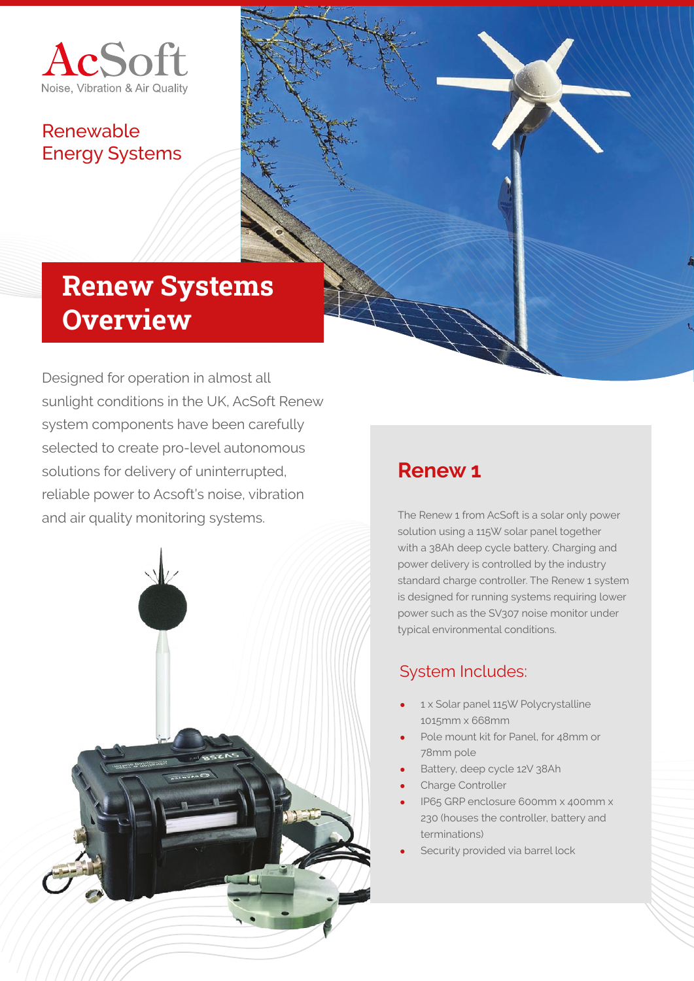

### Renewable Energy Systems



# Renew Systems **Overview**

Designed for operation in almost all sunlight conditions in the UK, AcSoft Renew system components have been carefully selected to create pro-level autonomous solutions for delivery of uninterrupted, reliable power to Acsoft's noise, vibration and air quality monitoring systems.



### **Renew 1**

The Renew 1 from AcSoft is a solar only power solution using a 115W solar panel together with a 38Ah deep cycle battery. Charging and power delivery is controlled by the industry standard charge controller. The Renew 1 system is designed for running systems requiring lower power such as the SV307 noise monitor under typical environmental conditions.

### System Includes:

- 1 x Solar panel 115W Polycrystalline 1015mm x 668mm
- Pole mount kit for Panel, for 48mm or 78mm pole
- Battery, deep cycle 12V 38Ah
- Charge Controller
- IP65 GRP enclosure 600mm x 400mm x 230 (houses the controller, battery and terminations)
- Security provided via barrel lock